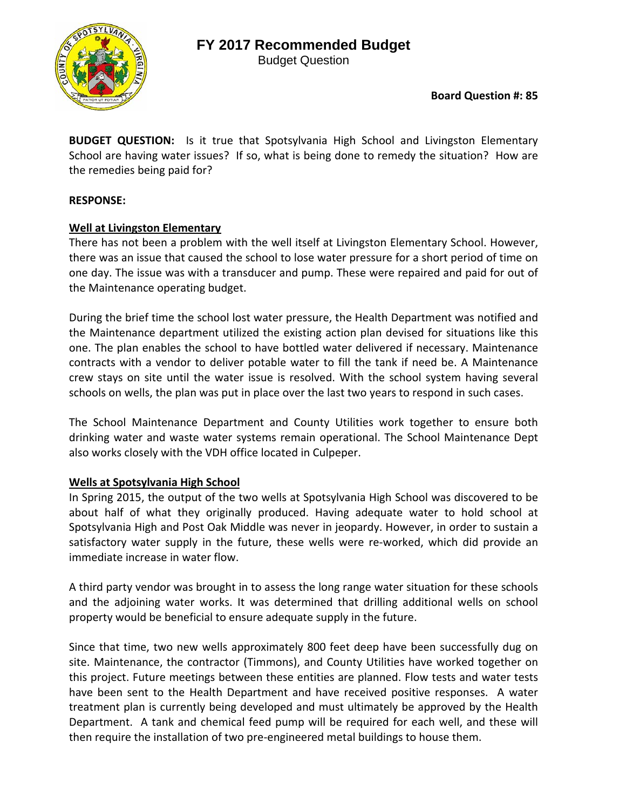## **FY 2017 Recommended Budget**



Budget Question

### **Board Question #: 85**

**BUDGET QUESTION:** Is it true that Spotsylvania High School and Livingston Elementary School are having water issues? If so, what is being done to remedy the situation? How are the remedies being paid for?

#### **RESPONSE:**

#### **Well at Livingston Elementary**

There has not been a problem with the well itself at Livingston Elementary School. However, there was an issue that caused the school to lose water pressure for a short period of time on one day. The issue was with a transducer and pump. These were repaired and paid for out of the Maintenance operating budget.

During the brief time the school lost water pressure, the Health Department was notified and the Maintenance department utilized the existing action plan devised for situations like this one. The plan enables the school to have bottled water delivered if necessary. Maintenance contracts with a vendor to deliver potable water to fill the tank if need be. A Maintenance crew stays on site until the water issue is resolved. With the school system having several schools on wells, the plan was put in place over the last two years to respond in such cases.

The School Maintenance Department and County Utilities work together to ensure both drinking water and waste water systems remain operational. The School Maintenance Dept also works closely with the VDH office located in Culpeper.

#### **Wells at Spotsylvania High School**

In Spring 2015, the output of the two wells at Spotsylvania High School was discovered to be about half of what they originally produced. Having adequate water to hold school at Spotsylvania High and Post Oak Middle was never in jeopardy. However, in order to sustain a satisfactory water supply in the future, these wells were re-worked, which did provide an immediate increase in water flow.

A third party vendor was brought in to assess the long range water situation for these schools and the adjoining water works. It was determined that drilling additional wells on school property would be beneficial to ensure adequate supply in the future.

Since that time, two new wells approximately 800 feet deep have been successfully dug on site. Maintenance, the contractor (Timmons), and County Utilities have worked together on this project. Future meetings between these entities are planned. Flow tests and water tests have been sent to the Health Department and have received positive responses. A water treatment plan is currently being developed and must ultimately be approved by the Health Department. A tank and chemical feed pump will be required for each well, and these will then require the installation of two pre‐engineered metal buildings to house them.